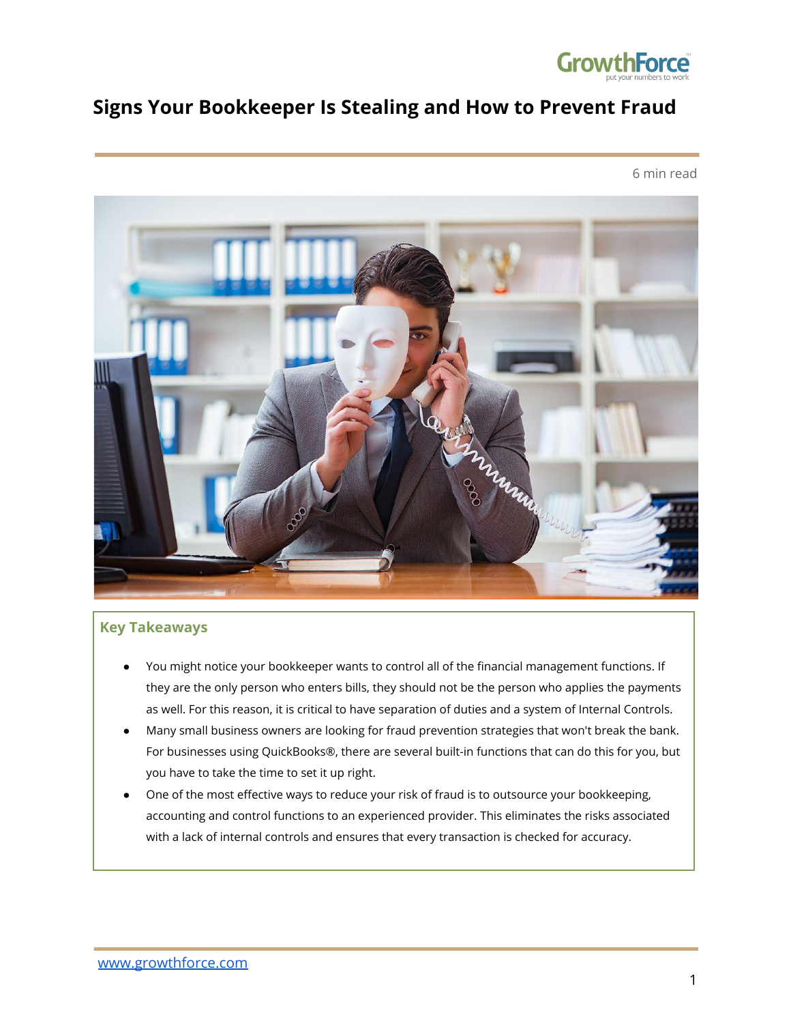

## **Signs Your Bookkeeper Is Stealing and How to Prevent Fraud**

6 min read



#### **Key Takeaways**

- You might notice your bookkeeper wants to control all of the financial management functions. If they are the only person who enters bills, they should not be the person who applies the payments as well. For this reason, it is critical to have separation of duties and a system of Internal Controls.
- Many small business owners are looking for fraud prevention strategies that won't break the bank. For businesses using QuickBooks®, there are several built-in functions that can do this for you, but you have to take the time to set it up right.
- One of the most effective ways to reduce your risk of fraud is to outsource your bookkeeping, accounting and control functions to an experienced provider. This eliminates the risks associated with a lack of internal controls and ensures that every transaction is checked for accuracy.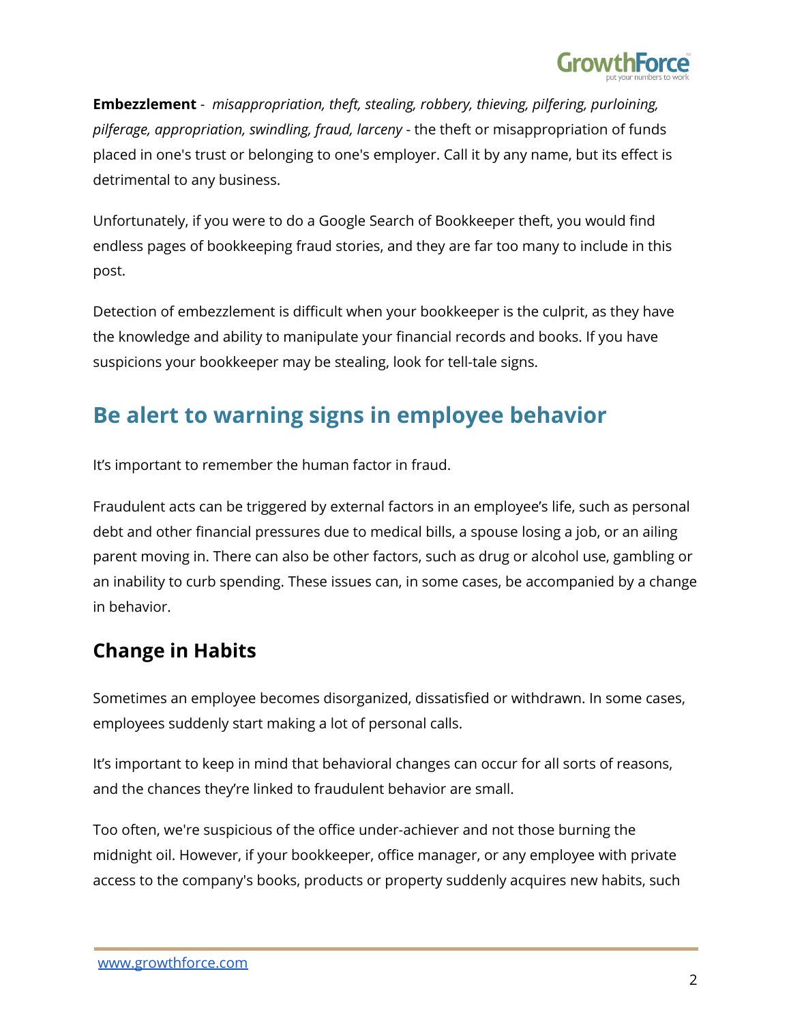

**Embezzlement** - *misappropriation, theft, stealing, robbery, thieving, pilfering, purloining, pilferage, appropriation, swindling, fraud, larceny* - the theft or misappropriation of funds placed in one's trust or belonging to one's employer. Call it by any name, but its effect is detrimental to any business.

Unfortunately, if you were to do a Google Search of Bookkeeper theft, you would find endless pages of bookkeeping fraud stories, and they are far too many to include in this post.

Detection of embezzlement is difficult when your bookkeeper is the culprit, as they have the knowledge and ability to manipulate your financial records and books. If you have suspicions your bookkeeper may be stealing, look for tell-tale signs.

# **Be alert to warning signs in employee behavior**

It's important to remember the human factor in fraud.

Fraudulent acts can be triggered by external factors in an employee's life, such as personal debt and other financial pressures due to medical bills, a spouse losing a job, or an ailing parent moving in. There can also be other factors, such as drug or alcohol use, gambling or an inability to curb spending. These issues can, in some cases, be accompanied by a change in behavior.

# **Change in Habits**

Sometimes an employee becomes disorganized, dissatisfied or withdrawn. In some cases, employees suddenly start making a lot of personal calls.

It's important to keep in mind that behavioral changes can occur for all sorts of reasons, and the chances they're linked to fraudulent behavior are small.

Too often, we're suspicious of the office under-achiever and not those burning the midnight oil. However, if your bookkeeper, office manager, or any employee with private access to the company's books, products or property suddenly acquires new habits, such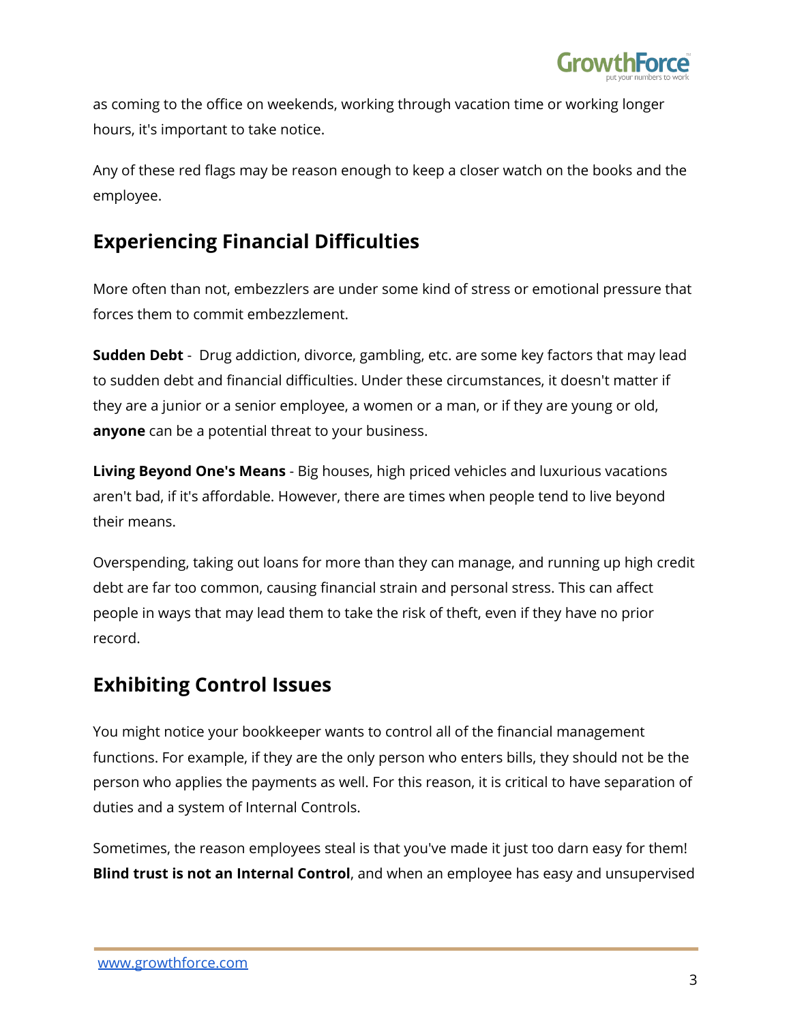

as coming to the office on weekends, working through vacation time or working longer hours, it's important to take notice.

Any of these red flags may be reason enough to keep a closer watch on the books and the employee.

## **Experiencing Financial Difficulties**

More often than not, embezzlers are under some kind of stress or emotional pressure that forces them to commit embezzlement.

**Sudden Debt** - Drug addiction, divorce, gambling, etc. are some key factors that may lead to sudden debt and financial difficulties. Under these circumstances, it doesn't matter if they are a junior or a senior employee, a women or a man, or if they are young or old, **anyone** can be a potential threat to your business.

**Living Beyond One's Means** - Big houses, high priced vehicles and luxurious vacations aren't bad, if it's affordable. However, there are times when people tend to live beyond their means.

Overspending, taking out loans for more than they can manage, and running up high credit debt are far too common, causing financial strain and personal stress. This can affect people in ways that may lead them to take the risk of theft, even if they have no prior record.

## **Exhibiting Control Issues**

You might notice your bookkeeper wants to control all of the financial management functions. For example, if they are the only person who enters bills, they should not be the person who applies the payments as well. For this reason, it is critical to have separation of duties and a system of Internal Controls.

Sometimes, the reason employees steal is that you've made it just too darn easy for them! **Blind trust is not an Internal Control**, and when an employee has easy and unsupervised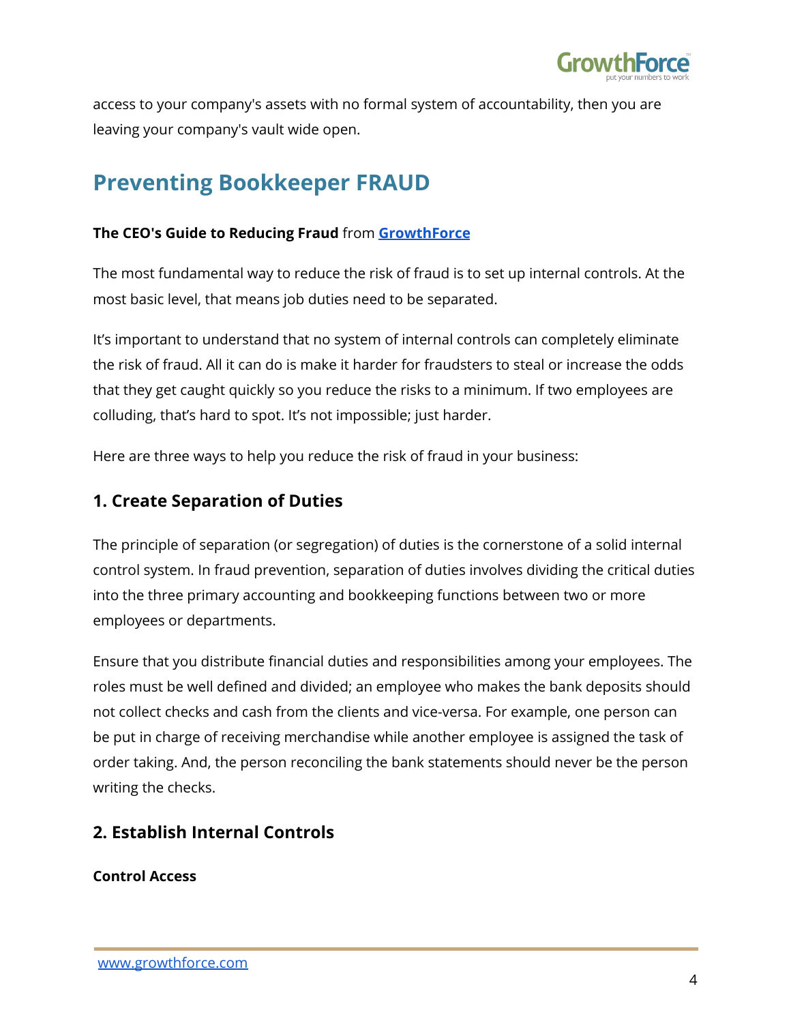

access to your company's assets with no formal system of accountability, then you are leaving your company's vault wide open.

# **Preventing Bookkeeper FRAUD**

### **The CEO's Guide to Reducing Fraud** from **[GrowthForce](https://www.slideshare.net/sking2102)**

The most fundamental way to reduce the risk of fraud is to set up internal controls. At the most basic level, that means job duties need to be separated.

It's important to understand that no system of internal controls can completely eliminate the risk of fraud. All it can do is make it harder for fraudsters to steal or increase the odds that they get caught quickly so you reduce the risks to a minimum. If two employees are colluding, that's hard to spot. It's not impossible; just harder.

Here are three ways to help you reduce the risk of fraud in your business:

### **1. Create Separation of Duties**

The principle of separation (or segregation) of duties is the cornerstone of a solid internal control system. In fraud prevention, separation of duties involves dividing the critical duties into the three primary accounting and bookkeeping functions between two or more employees or departments.

Ensure that you distribute financial duties and responsibilities among your employees. The roles must be well defined and divided; an employee who makes the bank deposits should not collect checks and cash from the clients and vice-versa. For example, one person can be put in charge of receiving merchandise while another employee is assigned the task of order taking. And, the person reconciling the bank statements should never be the person writing the checks.

## **2. Establish Internal Controls**

**Control Access**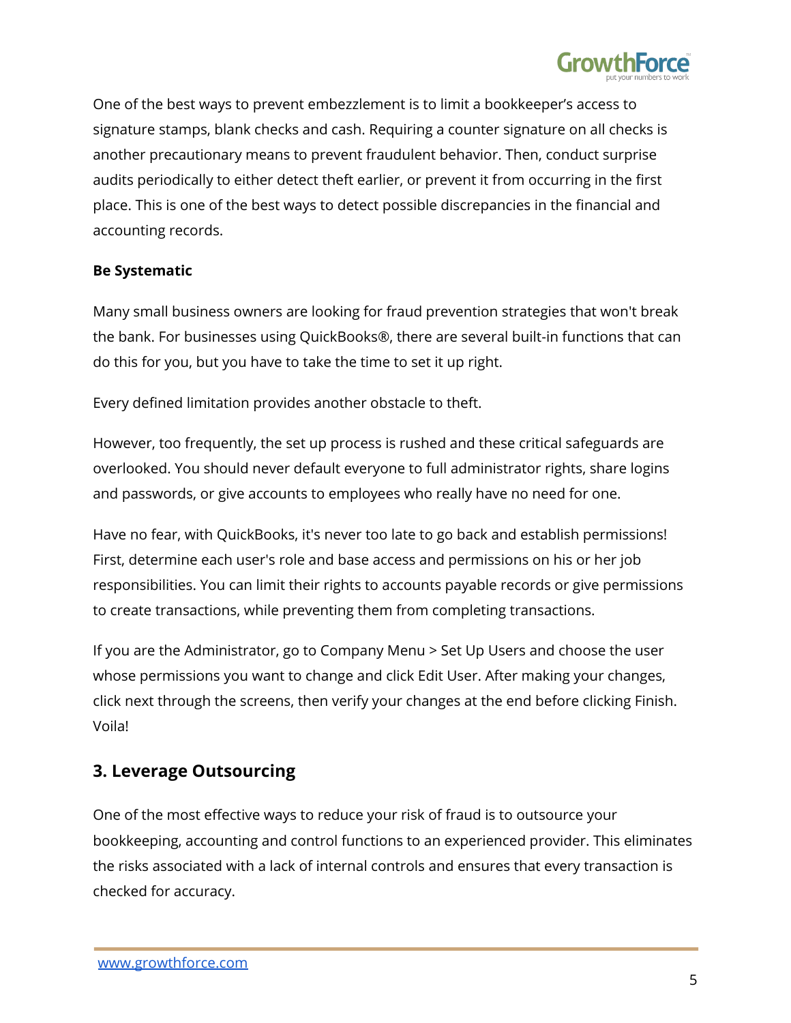

One of the best ways to prevent embezzlement is to limit a bookkeeper's access to signature stamps, blank checks and cash. Requiring a counter signature on all checks is another precautionary means to prevent fraudulent behavior. Then, conduct surprise audits periodically to either detect theft earlier, or prevent it from occurring in the first place. This is one of the best ways to detect possible discrepancies in the financial and accounting records.

#### **Be Systematic**

Many small business owners are looking for fraud prevention strategies that won't break the bank. For businesses using QuickBooks®, there are several built-in functions that can do this for you, but you have to take the time to set it up right.

Every defined limitation provides another obstacle to theft.

However, too frequently, the set up process is rushed and these critical safeguards are overlooked. You should never default everyone to full administrator rights, share logins and passwords, or give accounts to employees who really have no need for one.

Have no fear, with QuickBooks, it's never too late to go back and establish permissions! First, determine each user's role and base access and permissions on his or her job responsibilities. You can limit their rights to accounts payable records or give permissions to create transactions, while preventing them from completing transactions.

If you are the Administrator, go to Company Menu > Set Up Users and choose the user whose permissions you want to change and click Edit User. After making your changes, click next through the screens, then verify your changes at the end before clicking Finish. Voila!

### **3. Leverage Outsourcing**

One of the most effective ways to reduce your risk of fraud is to outsource your bookkeeping, accounting and control functions to an experienced provider. This eliminates the risks associated with a lack of internal controls and ensures that every transaction is checked for accuracy.